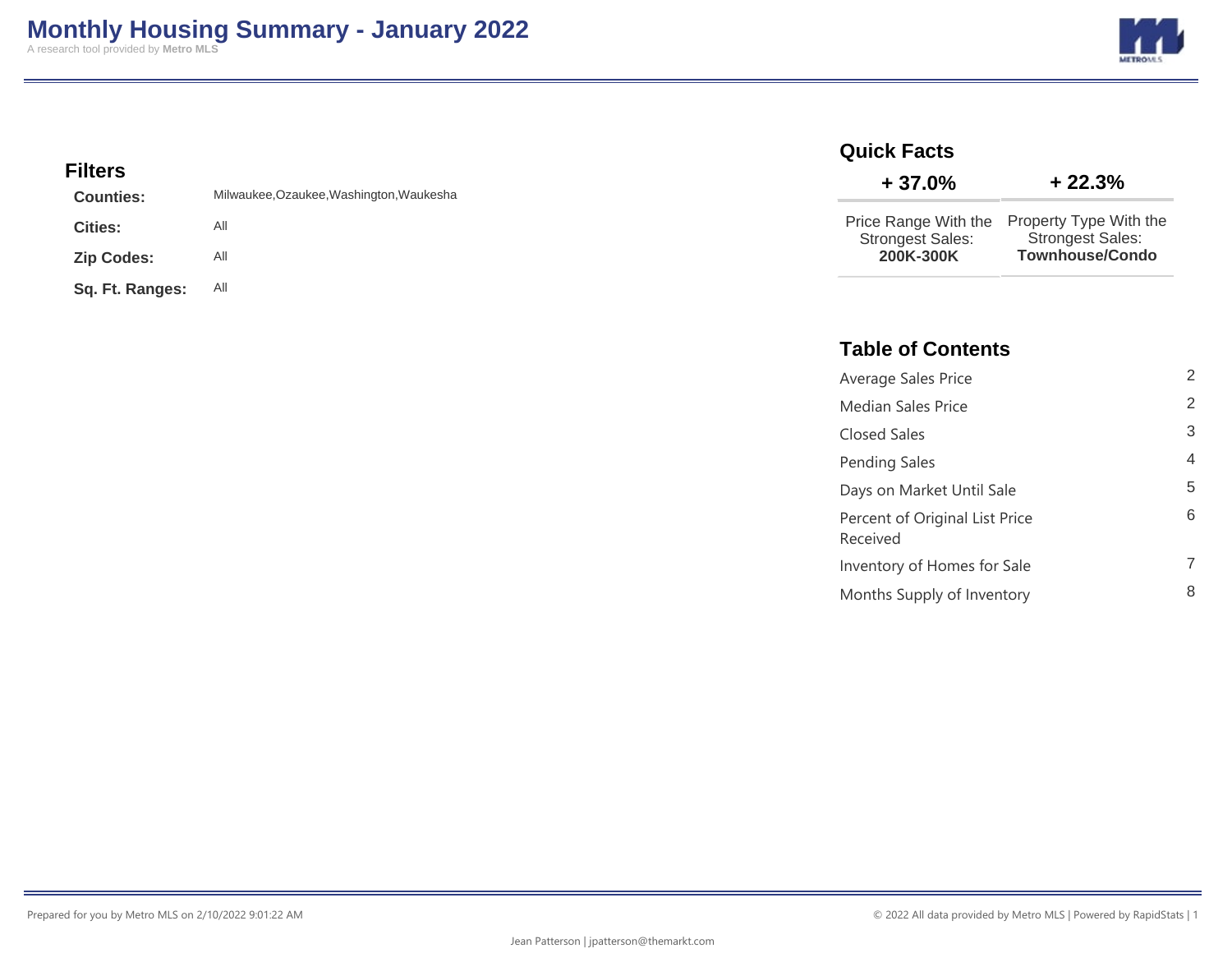

### **Filters**

| <b>Counties:</b>  | Milwaukee, Ozaukee, Washington, Waukesha |
|-------------------|------------------------------------------|
| <b>Cities:</b>    | All                                      |
| <b>Zip Codes:</b> | All                                      |
| Sq. Ft. Ranges:   | All                                      |

# **Quick Facts**

| $+37.0%$                | $+22.3%$                |
|-------------------------|-------------------------|
| Price Range With the    | Property Type With the  |
| <b>Strongest Sales:</b> | <b>Strongest Sales:</b> |
| 200K-300K               | <b>Townhouse/Condo</b>  |

### **Table of Contents**

| Average Sales Price                        | $\overline{2}$ |
|--------------------------------------------|----------------|
| Median Sales Price                         | $\overline{2}$ |
| Closed Sales                               | 3              |
| <b>Pending Sales</b>                       | 4              |
| Days on Market Until Sale                  | 5              |
| Percent of Original List Price<br>Received | 6              |
| Inventory of Homes for Sale                | 7              |
| Months Supply of Inventory                 | 8              |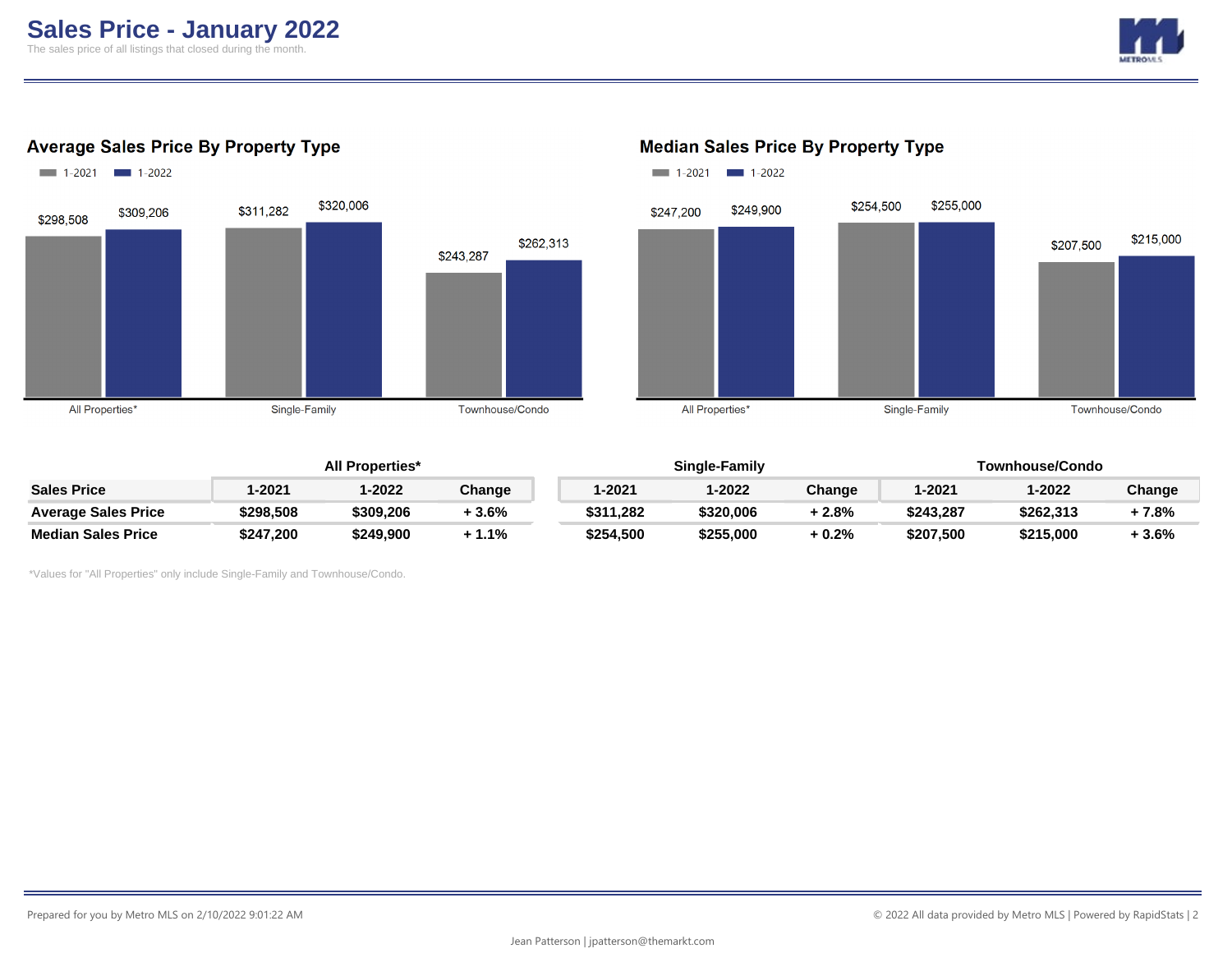

### **Average Sales Price By Property Type**



### $1-2021$  1-2022 \$254,500 \$255,000 \$249,900 \$247,200 \$215,000 \$207,500 All Properties\* Single-Family Townhouse/Condo

### **All Properties\* Single-Family Townhouse/Condo Sales Price 1-2021 1-2022 Change 1-2021 1-2022 Change 1-2021 1-2022 Change Average Sales Price \$298,508 \$309,206 + 3.6% \$311,282 \$320,006 + 2.8% \$243,287 \$262,313 + 7.8% Median Sales Price \$247,200 \$249,900 + 1.1% \$254,500 \$255,000 + 0.2% \$207,500 \$215,000 + 3.6%**

\*Values for "All Properties" only include Single-Family and Townhouse/Condo.

#### **Median Sales Price By Property Type**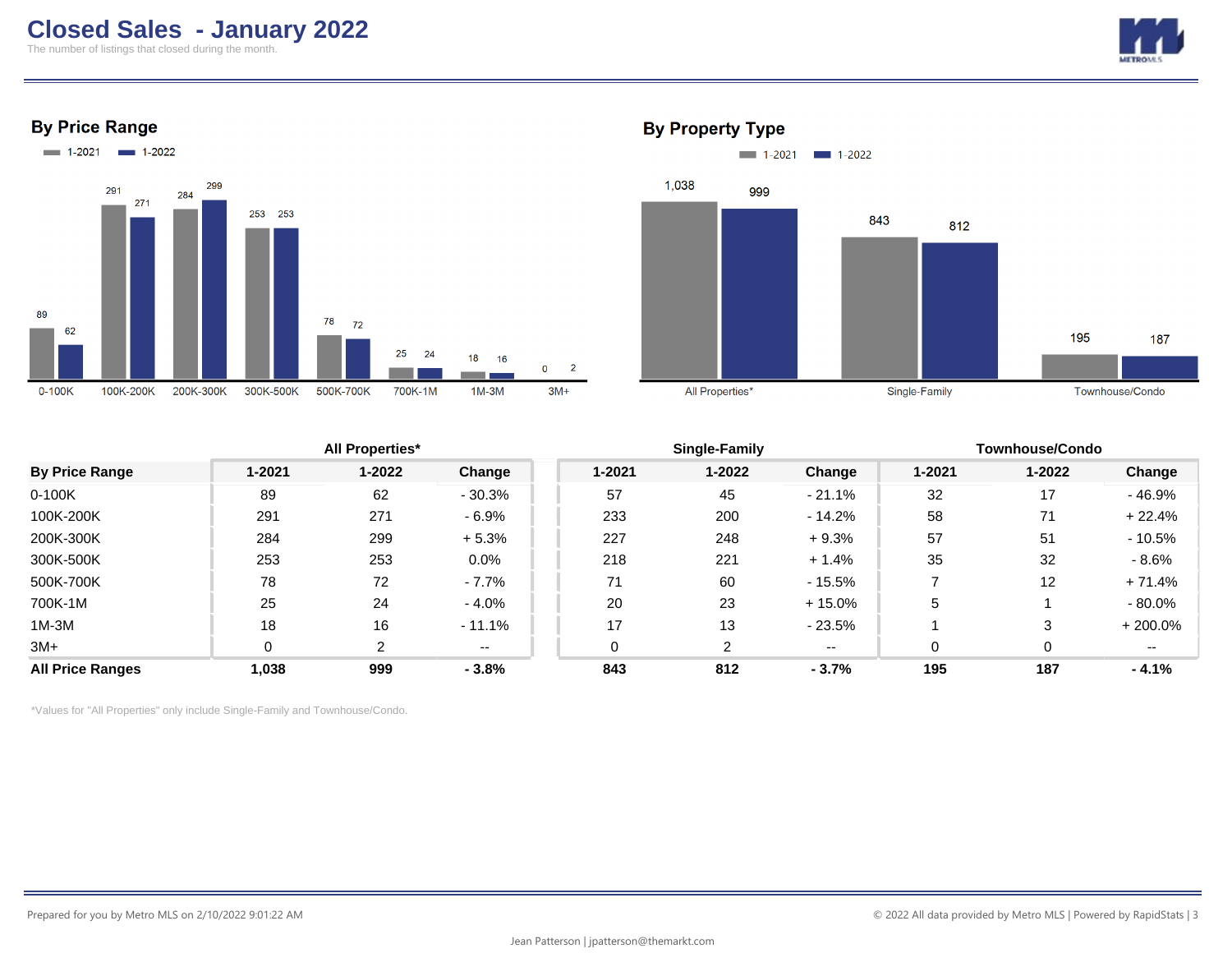## **Closed Sales - January 2022**

The number of listings that closed during the month.







### **By Property Type**



|                         |            | <b>All Properties*</b> |          |            | <b>Single-Family</b> |           |        | <b>Townhouse/Condo</b> |           |  |
|-------------------------|------------|------------------------|----------|------------|----------------------|-----------|--------|------------------------|-----------|--|
| <b>By Price Range</b>   | $1 - 2021$ | $1 - 2022$             | Change   | $1 - 2021$ | $1 - 2022$           | Change    | 1-2021 | $1 - 2022$             | Change    |  |
| $0-100K$                | 89         | 62                     | $-30.3%$ | 57         | 45                   | $-21.1\%$ | 32     | 17                     | - 46.9%   |  |
| 100K-200K               | 291        | 271                    | $-6.9%$  | 233        | 200                  | $-14.2\%$ | 58     | 71                     | $+22.4%$  |  |
| 200K-300K               | 284        | 299                    | $+5.3%$  | 227        | 248                  | $+9.3%$   | 57     | 51                     | $-10.5%$  |  |
| 300K-500K               | 253        | 253                    | $0.0\%$  | 218        | 221                  | $+1.4%$   | 35     | 32                     | $-8.6%$   |  |
| 500K-700K               | 78         | 72                     | $-7.7\%$ | 71         | 60                   | $-15.5%$  |        | 12                     | $+71.4%$  |  |
| 700K-1M                 | 25         | 24                     | $-4.0\%$ | 20         | 23                   | $+15.0\%$ | 5      |                        | - 80.0%   |  |
| $1M-3M$                 | 18         | 16                     | $-11.1%$ | 17         | 13                   | $-23.5%$  |        | 3                      | $+200.0%$ |  |
| $3M+$                   | 0          | 2                      | $- -$    |            | 2                    | $- -$     | 0      | 0                      | $- -$     |  |
| <b>All Price Ranges</b> | 1,038      | 999                    | $-3.8%$  | 843        | 812                  | $-3.7%$   | 195    | 187                    | $-4.1%$   |  |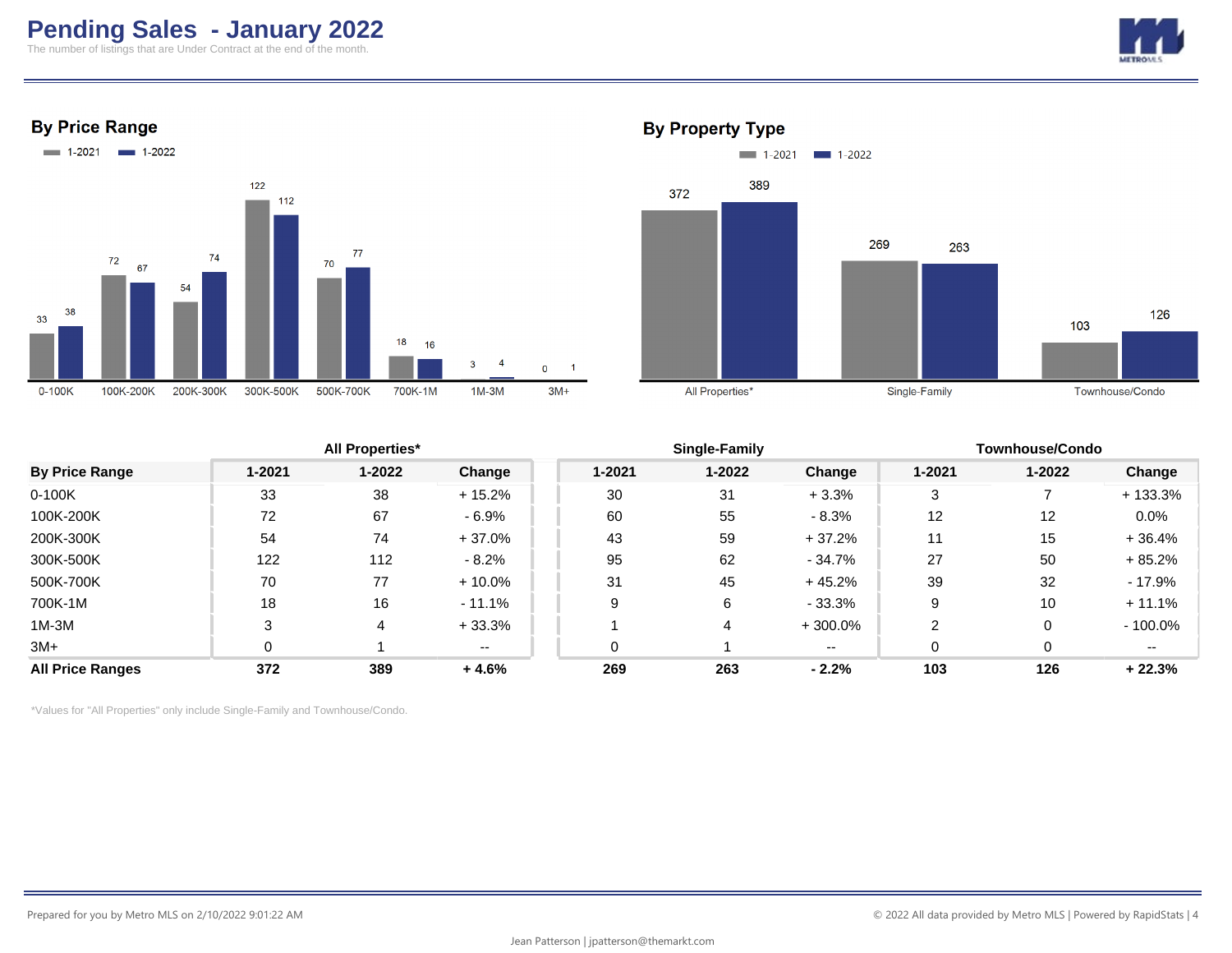# **Pending Sales - January 2022**

The number of listings that are Under Contract at the end of the month.







### **By Property Type**



|                         |        | <b>All Properties*</b> |          |        | Single-Family |           | <b>Townhouse/Condo</b> |                   |            |
|-------------------------|--------|------------------------|----------|--------|---------------|-----------|------------------------|-------------------|------------|
| <b>By Price Range</b>   | 1-2021 | $1 - 2022$             | Change   | 1-2021 | $1 - 2022$    | Change    | $1 - 2021$             | $1 - 2022$        | Change     |
| $0-100K$                | 33     | 38                     | $+15.2%$ | 30     | 31            | $+3.3%$   | 3                      |                   | $+133.3%$  |
| 100K-200K               | 72     | 67                     | $-6.9%$  | 60     | 55            | $-8.3%$   | 12                     | $12 \overline{ }$ | 0.0%       |
| 200K-300K               | 54     | 74                     | $+37.0%$ | 43     | 59            | $+37.2%$  | 11                     | 15                | $+36.4%$   |
| 300K-500K               | 122    | 112                    | $-8.2%$  | 95     | 62            | $-34.7%$  | 27                     | 50                | $+85.2%$   |
| 500K-700K               | 70     | 77                     | $+10.0%$ | 31     | 45            | $+45.2%$  | 39                     | 32                | - 17.9%    |
| 700K-1M                 | 18     | 16                     | $-11.1%$ | 9      | 6             | $-33.3\%$ | 9                      | 10                | $+11.1%$   |
| $1M-3M$                 | ◠      | 4                      | $+33.3%$ |        | 4             | $+300.0%$ | 2                      | 0                 | $-100.0\%$ |
| $3M+$                   | 0      |                        | $- -$    | 0      |               | $- -$     | 0                      | $\Omega$          | --         |
| <b>All Price Ranges</b> | 372    | 389                    | $+4.6%$  | 269    | 263           | $-2.2%$   | 103                    | 126               | $+22.3%$   |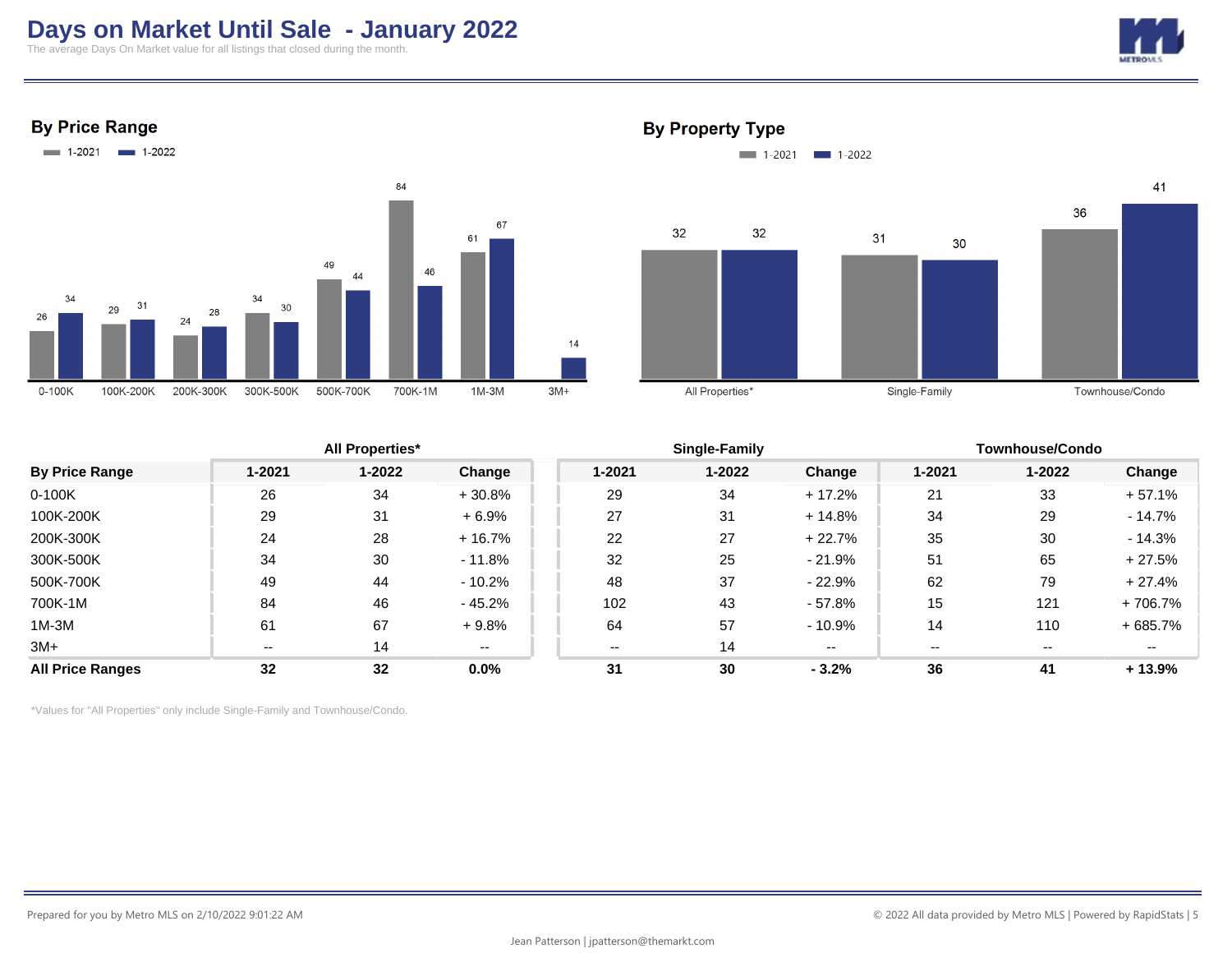## **Days on Market Until Sale - January 2022**

The average Days On Market value for all listings that closed during the month.



### **By Price Range**



### **By Property Type**



|                         |        | <b>All Properties*</b> |           |        | Single-Family |          |        | <b>Townhouse/Condo</b> |           |  |
|-------------------------|--------|------------------------|-----------|--------|---------------|----------|--------|------------------------|-----------|--|
| <b>By Price Range</b>   | 1-2021 | 1-2022                 | Change    | 1-2021 | $1 - 2022$    | Change   | 1-2021 | $1 - 2022$             | Change    |  |
| $0-100K$                | 26     | 34                     | $+30.8%$  | 29     | 34            | $+17.2%$ | 21     | 33                     | $+57.1%$  |  |
| 100K-200K               | 29     | 31                     | $+6.9%$   | 27     | 31            | $+14.8%$ | 34     | 29                     | $-14.7\%$ |  |
| 200K-300K               | 24     | 28                     | $+16.7%$  | 22     | 27            | $+22.7%$ | 35     | 30                     | $-14.3%$  |  |
| 300K-500K               | 34     | 30                     | $-11.8\%$ | 32     | 25            | $-21.9%$ | 51     | 65                     | $+27.5%$  |  |
| 500K-700K               | 49     | 44                     | $-10.2\%$ | 48     | 37            | $-22.9%$ | 62     | 79                     | $+27.4%$  |  |
| 700K-1M                 | 84     | 46                     | $-45.2%$  | 102    | 43            | - 57.8%  | 15     | 121                    | +706.7%   |  |
| $1M-3M$                 | 61     | 67                     | $+9.8%$   | 64     | 57            | $-10.9%$ | 14     | 110                    | $+685.7%$ |  |
| $3M+$                   | --     | 14                     | $- -$     | $- -$  | 14            | $- -$    |        | --                     |           |  |
| <b>All Price Ranges</b> | 32     | 32                     | $0.0\%$   | 31     | 30            | $-3.2%$  | 36     | 41                     | $+13.9%$  |  |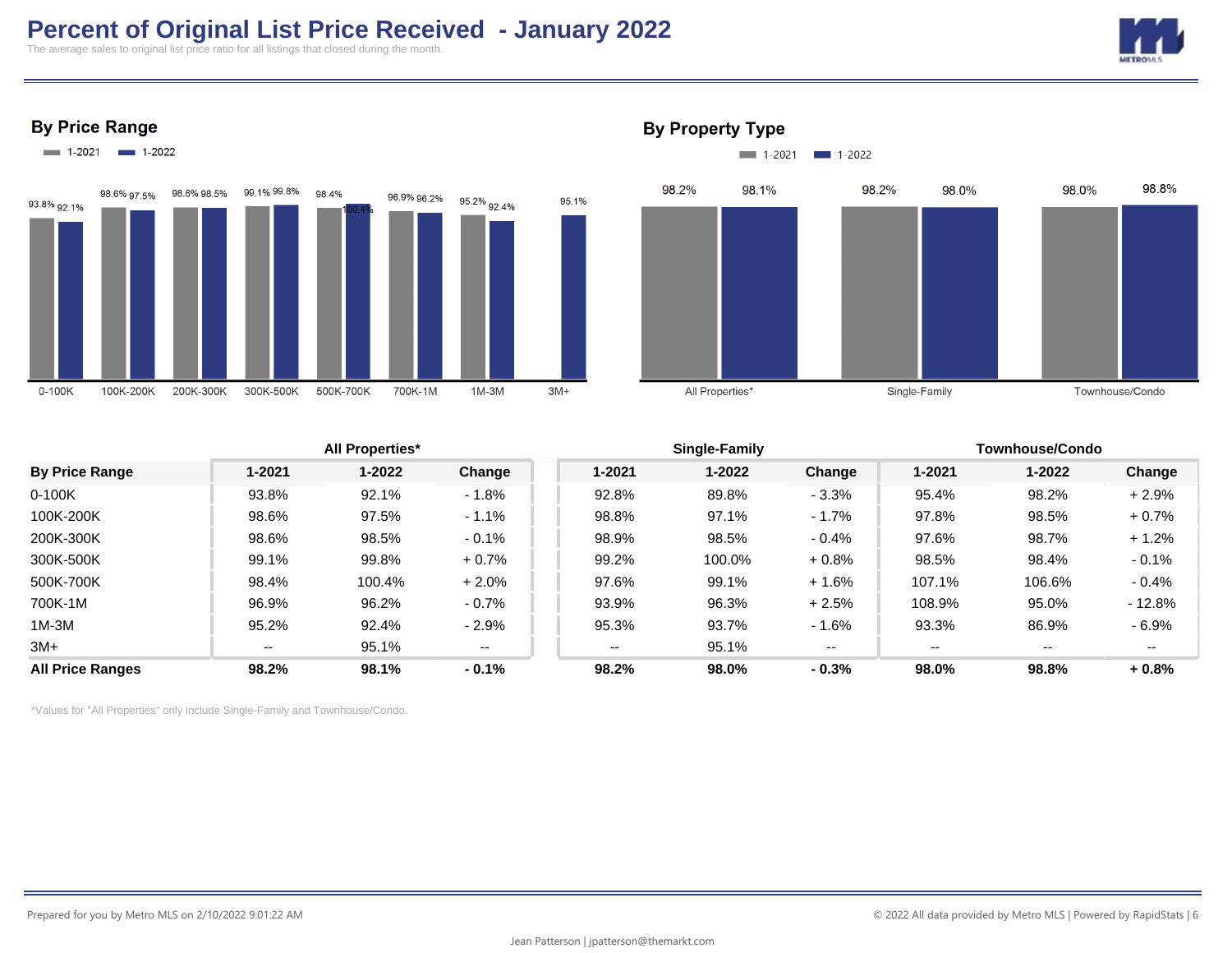## **Percent of Original List Price Received - January 2022**

The average sales to original list price ratio for all listings that closed during the month.











### **All Properties\* Single-Family Townhouse/Condo By Price Range 1-2021 1-2022 Change 1-2021 1-2022 Change 1-2021 1-2022 Change** 0-100K 93.8% 92.1% - 1.8% 92.8% 89.8% - 3.3% 95.4% 98.2% + 2.9% 100K-200K 98.6% 97.5% - 1.1% 98.8% 97.1% - 1.7% 97.8% 98.5% + 0.7% 200K-300K 98.6% 98.5% - 0.1% 98.9% 98.5% - 0.4% 97.6% 98.7% + 1.2% 300K-500K 99.1% 99.8% + 0.7% 99.2% 100.0% + 0.8% 98.5% 98.4% - 0.1% 500K-700K 98.4% 100.4% + 2.0% 97.6% 99.1% + 1.6% 107.1% 106.6% - 0.4% 700K-1M 96.9% 96.2% - 0.7% 93.9% 96.3% + 2.5% 108.9% 95.0% - 12.8% 1M-3M 95.2% 92.4% - 2.9% 95.3% 93.7% - 1.6% 93.3% 86.9% - 6.9% 3M+ -- 95.1% -- 95.1% -- --**All Price Ranges 98.2% 98.1% - 0.1% 98.2% 98.0% - 0.3% 98.0% 98.8% + 0.8%**

**By Property Type**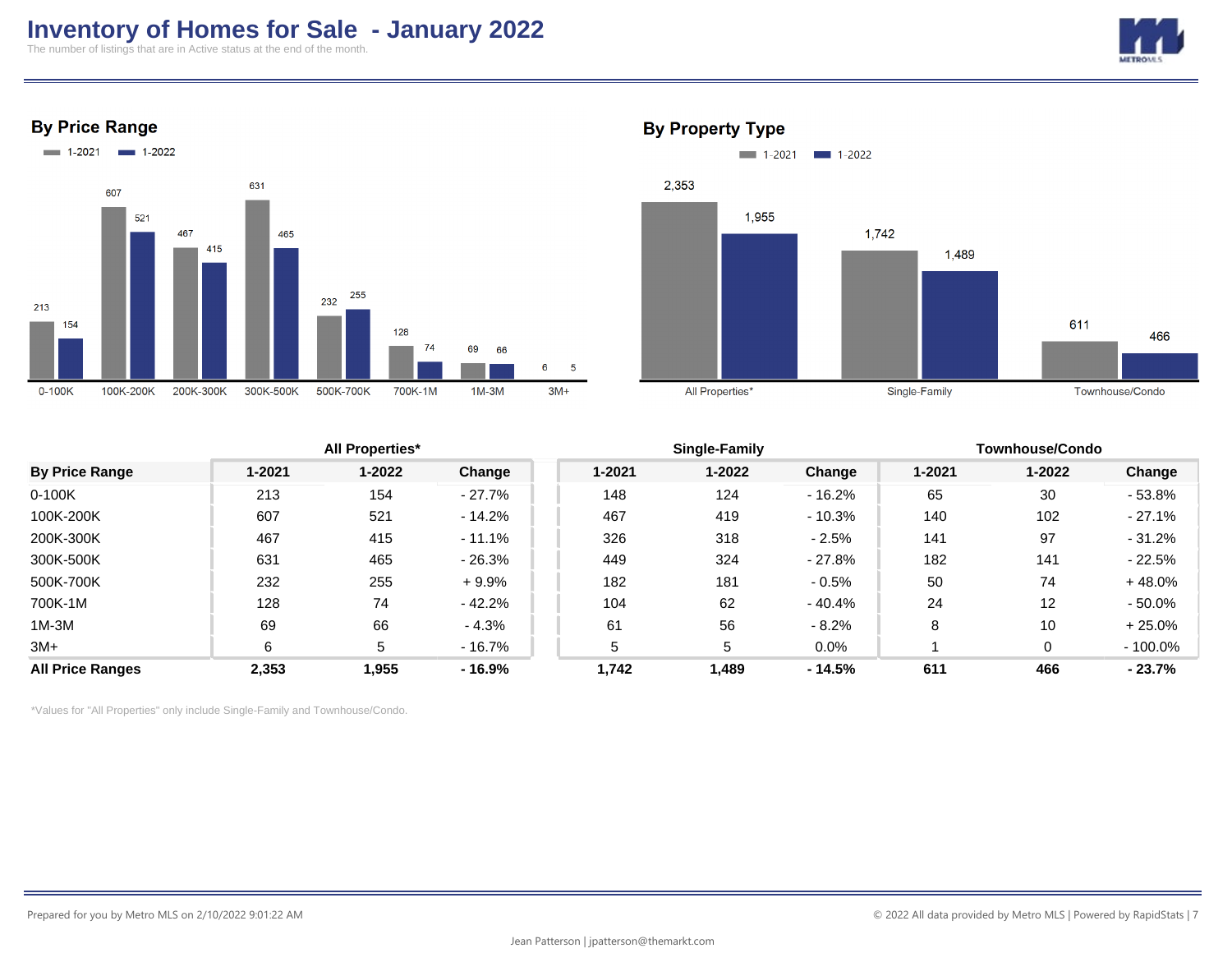## **Inventory of Homes for Sale - January 2022**

The number of listings that are in Active status at the end of the month.









### **By Property Type**

|                         |        | <b>All Properties*</b> |           |        | Single-Family |          |        | Townhouse/Condo |            |  |
|-------------------------|--------|------------------------|-----------|--------|---------------|----------|--------|-----------------|------------|--|
| <b>By Price Range</b>   | 1-2021 | $1 - 2022$             | Change    | 1-2021 | $1 - 2022$    | Change   | 1-2021 | $1 - 2022$      | Change     |  |
| $0-100K$                | 213    | 154                    | $-27.7\%$ | 148    | 124           | $-16.2%$ | 65     | 30              | $-53.8%$   |  |
| 100K-200K               | 607    | 521                    | $-14.2%$  | 467    | 419           | $-10.3%$ | 140    | 102             | $-27.1%$   |  |
| 200K-300K               | 467    | 415                    | $-11.1%$  | 326    | 318           | $-2.5%$  | 141    | 97              | $-31.2%$   |  |
| 300K-500K               | 631    | 465                    | $-26.3%$  | 449    | 324           | - 27.8%  | 182    | 141             | $-22.5%$   |  |
| 500K-700K               | 232    | 255                    | $+9.9%$   | 182    | 181           | $-0.5%$  | 50     | 74              | $+48.0%$   |  |
| 700K-1M                 | 128    | 74                     | $-42.2%$  | 104    | 62            | - 40.4%  | 24     | 12              | $-50.0\%$  |  |
| $1M-3M$                 | 69     | 66                     | $-4.3%$   | 61     | 56            | $-8.2%$  | 8      | 10              | $+25.0%$   |  |
| $3M+$                   | 6      | 5                      | $-16.7\%$ | 5      | 5             | $0.0\%$  |        | 0               | $-100.0\%$ |  |
| <b>All Price Ranges</b> | 2,353  | 1,955                  | - 16.9%   | 1.742  | 1,489         | - 14.5%  | 611    | 466             | $-23.7%$   |  |